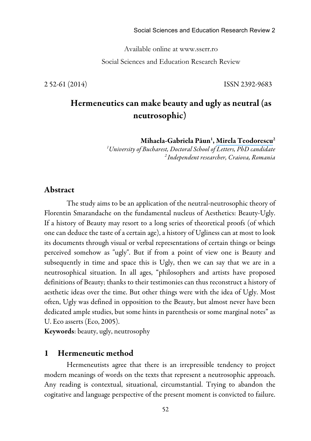Available online at www.sserr.ro Social Sciences and Education Research Review

2 52-61 (2014) ISSN 2392-9683

# Hermeneutics can make beauty and ugly as neutral (as neutrosophic)

Mihaela-Gabriela Păun<sup>1</sup>, Mirela Teodorescu<sup>2</sup>

*1 University of Bucharest, Doctoral School of Letters, PhD candidate <sup>2</sup> Independent researcher, Craiova, Romania*

### Abstract

The study aims to be an application of the neutral-neutrosophic theory of Florentin Smarandache on the fundamental nucleus of Aesthetics: Beauty-Ugly. If a history of Beauty may resort to a long series of theoretical proofs (of which one can deduce the taste of a certain age), a history of Ugliness can at most to look its documents through visual or verbal representations of certain things or beings perceived somehow as "ugly". But if from a point of view one is Beauty and subsequently in time and space this is Ugly, then we can say that we are in a neutrosophical situation. In all ages, "philosophers and artists have proposed definitions of Beauty; thanks to their testimonies can thus reconstruct a history of aesthetic ideas over the time. But other things were with the idea of Ugly. Most often, Ugly was defined in opposition to the Beauty, but almost never have been dedicated ample studies, but some hints in parenthesis or some marginal notes" as U. Eco asserts (Eco, 2005).

Keywords: beauty, ugly, neutrosophy

#### 1 Hermeneutic method

Hermeneutists agree that there is an irrepressible tendency to project modern meanings of words on the texts that represent a neutrosophic approach. Any reading is contextual, situational, circumstantial. Trying to abandon the cogitative and language perspective of the present moment is convicted to failure.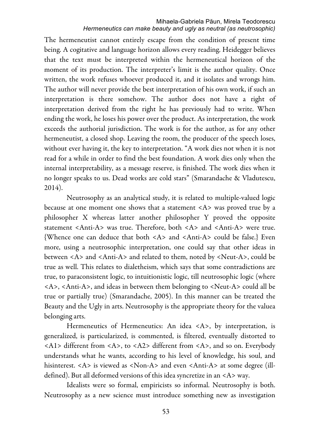The hermeneutist cannot entirely escape from the condition of present time being. A cogitative and language horizon allows every reading. Heidegger believes that the text must be interpreted within the hermeneutical horizon of the moment of its production. The interpreter's limit is the author quality. Once written, the work refuses whoever produced it, and it isolates and wrongs him. The author will never provide the best interpretation of his own work, if such an interpretation is there somehow. The author does not have a right of interpretation derived from the right he has previously had to write. When ending the work, he loses his power over the product. As interpretation, the work exceeds the authorial jurisdiction. The work is for the author, as for any other hermeneutist, a closed shop. Leaving the room, the producer of the speech loses, without ever having it, the key to interpretation. "A work dies not when it is not read for a while in order to find the best foundation. A work dies only when the internal interpretability, as a message reserve, is finished. The work dies when it no longer speaks to us. Dead works are cold stars" (Smarandache & Vladutescu, 2014).

Neutrosophy as an analytical study, it is related to multiple-valued logic because at one moment one shows that a statement <A> was proved true by a philosopher X whereas latter another philosopher Y proved the opposite statement <Anti-A> was true. Therefore, both <A> and <Anti-A> were true. {Whence one can deduce that both <A> and <Anti-A> could be false.} Even more, using a neutrosophic interpretation, one could say that other ideas in between <A> and <Anti-A> and related to them, noted by <Neut-A>, could be true as well. This relates to dialetheism, which says that some contradictions are true, to paraconsistent logic, to intuitionistic logic, till neutrosophic logic (where <A>, <Anti-A>, and ideas in between them belonging to <Neut-A> could all be true or partially true) (Smarandache, 2005). In this manner can be treated the Beauty and the Ugly in arts. Neutrosophy is the appropriate theory for the valuea belonging arts.

Hermeneutics of Hermeneutics: An idea <A>, by interpretation, is generalized, is particularized, is commented, is filtered, eventually distorted to <A1> different from <A>, to <A2> different from <A>, and so on. Everybody understands what he wants, according to his level of knowledge, his soul, and hisinterest. <A> is viewed as <Non-A> and even <Anti-A> at some degree (illdefined). But all deformed versions of this idea syncretize in an <A> way.

Idealists were so formal, empiricists so informal. Neutrosophy is both. Neutrosophy as a new science must introduce something new as investigation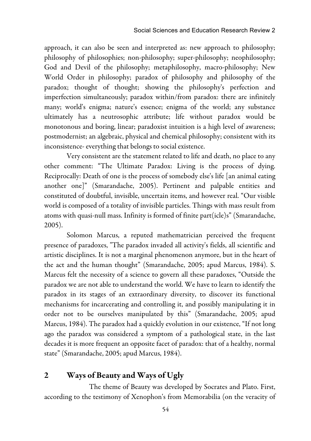approach, it can also be seen and interpreted as: new approach to philosophy; philosophy of philosophies; non-philosophy; super-philosophy; neophilosophy; God and Devil of the philosophy; metaphilosophy, macro-philosophy; New World Order in philosophy; paradox of philosophy and philosophy of the paradox; thought of thought; showing the philosophy's perfection and imperfection simultaneously; paradox within/from paradox: there are infinitely many; world's enigma; nature's essence; enigma of the world; any substance ultimately has a neutrosophic attribute; life without paradox would be monotonous and boring, linear; paradoxist intuition is a high level of awareness; postmodernist; an algebraic, physical and chemical philosophy; consistent with its inconsistence- everything that belongs to social existence.

Very consistent are the statement related to life and death, no place to any other comment: "The Ultimate Paradox: Living is the process of dying. Reciprocally: Death of one is the process of somebody else's life [an animal eating another one]" (Smarandache, 2005). Pertinent and palpable entities and constituted of doubtful, invisible, uncertain items, and however real. "Our visible world is composed of a totality of invisible particles. Things with mass result from atoms with quasi-null mass. Infinity is formed of finite part(icle)s" (Smarandache, 2005).

Solomon Marcus, a reputed mathematrician perceived the frequent presence of paradoxes, "The paradox invaded all activity's fields, all scientific and artistic disciplines. It is not a marginal phenomenon anymore, but in the heart of the act and the human thought" (Smarandache, 2005; apud Marcus, 1984). S. Marcus felt the necessity of a science to govern all these paradoxes, "Outside the paradox we are not able to understand the world. We have to learn to identify the paradox in its stages of an extraordinary diversity, to discover its functional mechanisms for incarcerating and controlling it, and possibly manipulating it in order not to be ourselves manipulated by this" (Smarandache, 2005; apud Marcus, 1984). The paradox had a quickly evolution in our existence, "If not long ago the paradox was considered a symptom of a pathological state, in the last decades it is more frequent an opposite facet of paradox: that of a healthy, normal state" (Smarandache, 2005; apud Marcus, 1984).

# 2 Ways of Beauty and Ways of Ugly

The theme of Beauty was developed by Socrates and Plato. First, according to the testimony of Xenophon's from Memorabilia (on the veracity of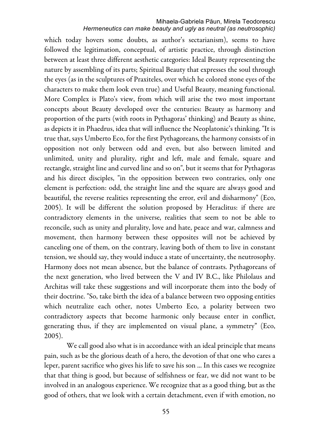### *Hermeneutics can make beauty and ugly as neutral (as neutrosophic)*

which today hovers some doubts, as author's sectarianism), seems to have followed the legitimation, conceptual, of artistic practice, through distinction between at least three different aesthetic categories: Ideal Beauty representing the nature by assembling of its parts; Spiritual Beauty that expresses the soul through the eyes (as in the sculptures of Praxiteles, over which he colored stone eyes of the characters to make them look even true) and Useful Beauty, meaning functional. More Complex is Plato's view, from which will arise the two most important concepts about Beauty developed over the centuries: Beauty as harmony and proportion of the parts (with roots in Pythagoras' thinking) and Beauty as shine, as depicts it in Phaedrus, idea that will influence the Neoplatonic's thinking. "It is true that, says Umberto Eco, for the first Pythagoreans, the harmony consists of in opposition not only between odd and even, but also between limited and unlimited, unity and plurality, right and left, male and female, square and rectangle, straight line and curved line and so on", but it seems that for Pythagoras and his direct disciples, "in the opposition between two contraries, only one element is perfection: odd, the straight line and the square are always good and beautiful, the reverse realities representing the error, evil and disharmony" (Eco, 2005). It will be different the solution proposed by Heraclitus: if there are contradictory elements in the universe, realities that seem to not be able to reconcile, such as unity and plurality, love and hate, peace and war, calmness and movement, then harmony between these opposites will not be achieved by canceling one of them, on the contrary, leaving both of them to live in constant tension, we should say, they would induce a state of uncertainty, the neutrosophy. Harmony does not mean absence, but the balance of contrasts. Pythagoreans of the next generation, who lived between the V and IV B.C., like Philolaus and Architas will take these suggestions and will incorporate them into the body of their doctrine. "So, take birth the idea of a balance between two opposing entities which neutralize each other, notes Umberto Eco, a polarity between two contradictory aspects that become harmonic only because enter in conflict, generating thus, if they are implemented on visual plane, a symmetry" (Eco, 2005).

We call good also what is in accordance with an ideal principle that means pain, such as be the glorious death of a hero, the devotion of that one who cares a leper, parent sacrifice who gives his life to save his son ... In this cases we recognize that that thing is good, but because of selfishness or fear, we did not want to be involved in an analogous experience. We recognize that as a good thing, but as the good of others, that we look with a certain detachment, even if with emotion, no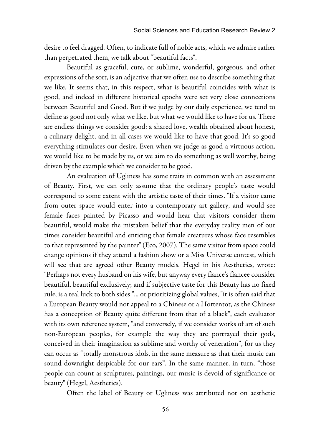desire to feel dragged. Often, to indicate full of noble acts, which we admire rather than perpetrated them, we talk about "beautiful facts".

Beautiful as graceful, cute, or sublime, wonderful, gorgeous, and other expressions of the sort, is an adjective that we often use to describe something that we like. It seems that, in this respect, what is beautiful coincides with what is good, and indeed in different historical epochs were set very close connections between Beautiful and Good. But if we judge by our daily experience, we tend to define as good not only what we like, but what we would like to have for us. There are endless things we consider good: a shared love, wealth obtained about honest, a culinary delight, and in all cases we would like to have that good. It's so good everything stimulates our desire. Even when we judge as good a virtuous action, we would like to be made by us, or we aim to do something as well worthy, being driven by the example which we consider to be good.

An evaluation of Ugliness has some traits in common with an assessment of Beauty. First, we can only assume that the ordinary people's taste would correspond to some extent with the artistic taste of their times. "If a visitor came from outer space would enter into a contemporary art gallery, and would see female faces painted by Picasso and would hear that visitors consider them beautiful, would make the mistaken belief that the everyday reality men of our times consider beautiful and enticing that female creatures whose face resembles to that represented by the painter" (Eco, 2007). The same visitor from space could change opinions if they attend a fashion show or a Miss Universe contest, which will see that are agreed other Beauty models. Hegel in his Aesthetics, wrote: "Perhaps not every husband on his wife, but anyway every fiance's fiancee consider beautiful, beautiful exclusively; and if subjective taste for this Beauty has no fixed rule, is a real luck to both sides "... or prioritizing global values, "it is often said that a European Beauty would not appeal to a Chinese or a Hottentot, as the Chinese has a conception of Beauty quite different from that of a black", each evaluator with its own reference system, "and conversely, if we consider works of art of such non-European peoples, for example the way they are portrayed their gods, conceived in their imagination as sublime and worthy of veneration", for us they can occur as "totally monstrous idols, in the same measure as that their music can sound downright despicable for our ears". In the same manner, in turn, "those people can count as sculptures, paintings, our music is devoid of significance or beauty" (Hegel, Aesthetics).

Often the label of Beauty or Ugliness was attributed not on aesthetic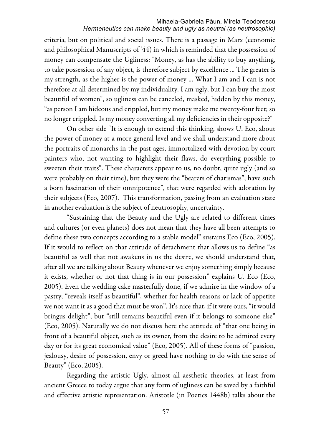#### Mihaela-Gabriela Păun, Mirela Teodorescu *Hermeneutics can make beauty and ugly as neutral (as neutrosophic)*

criteria, but on political and social issues. There is a passage in Marx (economic and philosophical Manuscripts of '44) in which is reminded that the possession of money can compensate the Ugliness: "Money, as has the ability to buy anything, to take possession of any object, is therefore subject by excellence ... The greater is my strength, as the higher is the power of money ... What I am and I can is not therefore at all determined by my individuality. I am ugly, but I can buy the most beautiful of women", so ugliness can be canceled, masked, hidden by this money, "as person I am hideous and crippled, but my money make me twenty-four feet; so no longer crippled. Is my money converting all my deficiencies in their opposite?"

On other side "It is enough to extend this thinking, shows U. Eco, about the power of money at a more general level and we shall understand more about the portraits of monarchs in the past ages, immortalized with devotion by court painters who, not wanting to highlight their flaws, do everything possible to sweeten their traits". These characters appear to us, no doubt, quite ugly (and so were probably on their time), but they were the "bearers of charismas", have such a born fascination of their omnipotence", that were regarded with adoration by their subjects (Eco, 2007). This transformation, passing from an evaluation state in another evaluation is the subject of neutrosophy, uncertainty.

"Sustaining that the Beauty and the Ugly are related to different times and cultures (or even planets) does not mean that they have all been attempts to define these two concepts according to a stable model" sustains Eco (Eco, 2005). If it would to reflect on that attitude of detachment that allows us to define "as beautiful as well that not awakens in us the desire, we should understand that, after all we are talking about Beauty whenever we enjoy something simply because it exists, whether or not that thing is in our possession" explains U. Eco (Eco, 2005). Even the wedding cake masterfully done, if we admire in the window of a pastry, "reveals itself as beautiful", whether for health reasons or lack of appetite we not want it as a good that must be won". It's nice that, if it were ours, "it would bringus delight", but "still remains beautiful even if it belongs to someone else" (Eco, 2005). Naturally we do not discuss here the attitude of "that one being in front of a beautiful object, such as its owner, from the desire to be admired every day or for its great economical value" (Eco, 2005). All of these forms of "passion, jealousy, desire of possession, envy or greed have nothing to do with the sense of Beauty" (Eco, 2005).

Regarding the artistic Ugly, almost all aesthetic theories, at least from ancient Greece to today argue that any form of ugliness can be saved by a faithful and effective artistic representation. Aristotle (in Poetics 1448b) talks about the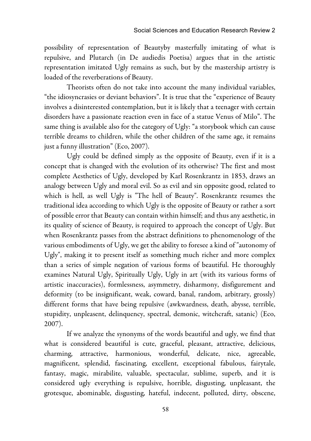possibility of representation of Beautyby masterfully imitating of what is repulsive, and Plutarch (in De audiedis Poetisa) argues that in the artistic representation imitated Ugly remains as such, but by the mastership artistry is loaded of the reverberations of Beauty.

Theorists often do not take into account the many individual variables, "the idiosyncrasies or deviant behaviors". It is true that the "experience of Beauty involves a disinterested contemplation, but it is likely that a teenager with certain disorders have a passionate reaction even in face of a statue Venus of Milo". The same thing is available also for the category of Ugly: "a storybook which can cause terrible dreams to children, while the other children of the same age, it remains just a funny illustration" (Eco, 2007).

Ugly could be defined simply as the opposite of Beauty, even if it is a concept that is changed with the evolution of its otherwise? The first and most complete Aesthetics of Ugly, developed by Karl Rosenkrantz in 1853, draws an analogy between Ugly and moral evil. So as evil and sin opposite good, related to which is hell, as well Ugly is "The hell of Beauty". Rosenkrantz resumes the traditional idea according to which Ugly is the opposite of Beauty or rather a sort of possible error that Beauty can contain within himself; and thus any aesthetic, in its quality of science of Beauty, is required to approach the concept of Ugly. But when Rosenkrantz passes from the abstract definitions to phenomenology of the various embodiments of Ugly, we get the ability to foresee a kind of "autonomy of Ugly", making it to present itself as something much richer and more complex than a series of simple negation of various forms of beautiful. He thoroughly examines Natural Ugly, Spiritually Ugly, Ugly in art (with its various forms of artistic inaccuracies), formlessness, asymmetry, disharmony, disfigurement and deformity (to be insignificant, weak, coward, banal, random, arbitrary, grossly) different forms that have being repulsive (awkwardness, death, abysse, terrible, stupidity, unpleasent, delinquency, spectral, demonic, witchcraft, satanic) (Eco, 2007).

If we analyze the synonyms of the words beautiful and ugly, we find that what is considered beautiful is cute, graceful, pleasant, attractive, delicious, charming, attractive, harmonious, wonderful, delicate, nice, agreeable, magnificent, splendid, fascinating, excellent, exceptional fabulous, fairytale, fantasy, magic, mirabilite, valuable, spectacular, sublime, superb, and it is considered ugly everything is repulsive, horrible, disgusting, unpleasant, the grotesque, abominable, disgusting, hateful, indecent, polluted, dirty, obscene,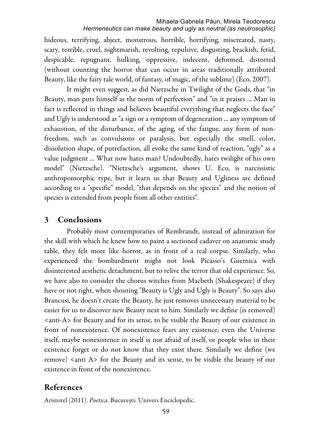#### Mihaela-Gabriela Păun, Mirela Teodorescu *Hermeneutics can make beauty and ugly as neutral (as neutrosophic)*

hideous, terrifying, abject, monstrous, horrible, horrifying, miscreated, nasty, scary, terrible, cruel, nightmarish, revolting, repulsive, disgusting, brackish, fetid, despicable, repugnant, hulking, oppressive, indecent, deformed, distorted (without counting the horror that can occur in areas traditionally attributed Beauty, like the fairy tale world, of fantasy, of magic, of the sublime) (Eco, 2007).

It might even suggest, as did Nietzsche in Twilight of the Gods, that "in Beauty, man puts himself as the norm of perfection" and "in it praises ... Man in fact is reflected in things and believes beautiful everything that neglects the face" and Ugly is understood as "a sign or a symptom of degeneration ... any symptom of exhaustion, of the disturbance, of the aging, of the fatigue, any form of nonfreedom, such as convulsions or paralysis, but especially the smell, color, dissolution shape, of putrefaction, all evoke the same kind of reaction, "ugly" as a value judgment ... What now hates man? Undoubtedly, hates twilight of his own model" (Nietzsche). "Nietzsche's argument, shows U. Eco, is narcissistic anthropomorphic type, but it learn us that Beauty and Ugliness are defined according to a "specific" model, "that depends on the species" and the notion of species is extended from people from all other entities".

## 3 Conclusions

Probably most contemporaries of Rembrandt, instead of admiration for the skill with which he knew how to paint a sectioned cadaver on anatomic study table, they felt more like horror, as in front of a real corpse. Similarly, who experienced the bombardment might not look Picasso's Guernica with disinterested aesthetic detachment, but to relive the terror that old experience. So, we have also to consider the chorus witches from Macbeth (Shakespeare) if they have or not right, when shouting "Beauty is Ugly and Ugly is Beauty". So says also Brancusi, he doesn't create the Beauty, he just removes unnecessary material to be easier for us to discover new Beauty next to him. Similarly we define (is removed) <anti-A> for Beauty and for its sense, to be visible the Beauty of our existence in front of nonexistence. Of nonexistence fears any existence, even the Universe itself, maybe nonexistence in itself is not afraid of itself, or people who in their existence forget or do not know that they exist there. Similarly we define (we remove) <anti A> for the Beauty and its sense, to be visible the beauty of our existence in front of the nonexistence.

## References

Aristotel (2011). *Poetica*. București: Univers Enciclopedic.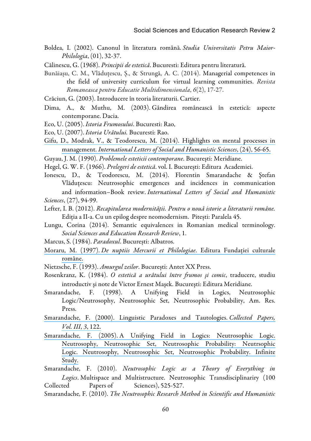Boldea, I. (2002). Canonul în literatura română. *Studia Universitatis Petru Maior-Philologia*, (01), 32-37.

Călinescu, G. (1968). *Principii de estetic*ă. Bucuresti: Editura pentru literatură.

- Bunăiașu, C. M., Vlăduțescu, Ș., & Strungă, A. C. (2014). Managerial competences in the field of university curriculum for virtual learning communities. *Revista Romaneasca pentru Educatie Multidimensionala*, *6*(2), 17-27.
- Crăciun, G. (2003). Introducere în teoria literaturii. Cartier.
- Dima, A., & Muthu, M. (2003). Gândirea românească în estetică: aspecte contemporane. Dacia.
- Eco, U. (2005). *Istoria Frumosului*. Bucuresti: Rao,
- Eco, U. (2007). *Istoria Urâtului.* Bucuresti: Rao.
- Gifu, D., Modrak, V., & [Teodorescu, M. \(2014\). Highlights on mental processes in](https://www.researchgate.net/publication/265335569_Highlights_on_Mental_Processes_in_Management?el=1_x_8&enrichId=rgreq-7344f04c30da94bed6c18f228b9c119c-XXX&enrichSource=Y292ZXJQYWdlOzI3NDU2NDcwMTtBUzoyMTUyNzA3NzA2NDcwNDBAMTQyODMzNTk1OTQyNg==) management. *[International Letters of Social and Humanistic Sciences](https://www.researchgate.net/publication/265335569_Highlights_on_Mental_Processes_in_Management?el=1_x_8&enrichId=rgreq-7344f04c30da94bed6c18f228b9c119c-XXX&enrichSource=Y292ZXJQYWdlOzI3NDU2NDcwMTtBUzoyMTUyNzA3NzA2NDcwNDBAMTQyODMzNTk1OTQyNg==)*, (24), 56-65.
- Guyau, J. M. (1990). *Problemele esteticii contemporane*. Bucureşti: Meridiane.
- Hegel, G. W. F. (1966). *Prelegeri de estetic*ă. vol. I. București: Editura Academiei.
- Ionescu, D., & Teodorescu, M. (2014). Florentin Smarandache & Ştefan Vlăduţescu: Neutrosophic emergences and incidences in communication and information–Book review. *International Letters of Social and Humanistic Sciences*, (27), 94-99.
- Lefter, I. B. (2012). *Recapitularea modernit*ăț*ii. Pentru o nou*ă *istorie a literaturii române.* Ediția a II-a. Cu un epilog despre neomodernism. Pitești: Paralela 45.
- Lungu, Corina (2014). Semantic equivalences in Romanian medical terminology. *Social Sciences and Education Research Review*, 1.
- Marcus, S. (1984). *Paradoxul*. București: Albatros.
- Moraru, M. (1997). *[De nuptiis Mercurii et Philologiae](https://www.researchgate.net/publication/43361701_Prof_Dr_Mihai_Moraru_De_nuptiis_Mercurii_et_Philologiae?el=1_x_8&enrichId=rgreq-7344f04c30da94bed6c18f228b9c119c-XXX&enrichSource=Y292ZXJQYWdlOzI3NDU2NDcwMTtBUzoyMTUyNzA3NzA2NDcwNDBAMTQyODMzNTk1OTQyNg==)*. Editura Fundației culturale [române.](https://www.researchgate.net/publication/43361701_Prof_Dr_Mihai_Moraru_De_nuptiis_Mercurii_et_Philologiae?el=1_x_8&enrichId=rgreq-7344f04c30da94bed6c18f228b9c119c-XXX&enrichSource=Y292ZXJQYWdlOzI3NDU2NDcwMTtBUzoyMTUyNzA3NzA2NDcwNDBAMTQyODMzNTk1OTQyNg==)
- Nietzsche, F. (1993). *Amurgul zeilor*. București: Antet XX Press.
- Rosenkranz, K. (1984). *O estetic*ă *a urâtului între frumos* ş*i comic*, traducere, studiu introductiv şi note de Victor Ernest Maşek. Bucureşti: Editura Meridiane.
- Smarandache, F. (1998). A Unifying Field in Logics, Neutrosophic Logic/Neutrosophy, Neutrosophic Set, Neutrosophic Probability, Am. Res. Press.
- [Smarandache, F. \(2000\). Linguistic Paradoxes and Tautologies.](https://www.researchgate.net/publication/305130739_Linguistic_Paradoxes_and_Tautologies?el=1_x_8&enrichId=rgreq-7344f04c30da94bed6c18f228b9c119c-XXX&enrichSource=Y292ZXJQYWdlOzI3NDU2NDcwMTtBUzoyMTUyNzA3NzA2NDcwNDBAMTQyODMzNTk1OTQyNg==) *Collected Papers, [Vol. III](https://www.researchgate.net/publication/305130739_Linguistic_Paradoxes_and_Tautologies?el=1_x_8&enrichId=rgreq-7344f04c30da94bed6c18f228b9c119c-XXX&enrichSource=Y292ZXJQYWdlOzI3NDU2NDcwMTtBUzoyMTUyNzA3NzA2NDcwNDBAMTQyODMzNTk1OTQyNg==)*, *3*, 122.
- Smarandache, F. (2005). [A Unifying Field in Logics: Neutrosophic Logic.](https://www.researchgate.net/publication/266416576_A_unifying_field_in_logics_Neutrosophic_logic?el=1_x_8&enrichId=rgreq-7344f04c30da94bed6c18f228b9c119c-XXX&enrichSource=Y292ZXJQYWdlOzI3NDU2NDcwMTtBUzoyMTUyNzA3NzA2NDcwNDBAMTQyODMzNTk1OTQyNg==) [Neutrosophy, Neutrosophic Set, Neutrosophic Probability: Neutrsophic](https://www.researchgate.net/publication/266416576_A_unifying_field_in_logics_Neutrosophic_logic?el=1_x_8&enrichId=rgreq-7344f04c30da94bed6c18f228b9c119c-XXX&enrichSource=Y292ZXJQYWdlOzI3NDU2NDcwMTtBUzoyMTUyNzA3NzA2NDcwNDBAMTQyODMzNTk1OTQyNg==) [Logic. Neutrosophy, Neutrosophic Set, Neutrosophic Probability. Infinite](https://www.researchgate.net/publication/266416576_A_unifying_field_in_logics_Neutrosophic_logic?el=1_x_8&enrichId=rgreq-7344f04c30da94bed6c18f228b9c119c-XXX&enrichSource=Y292ZXJQYWdlOzI3NDU2NDcwMTtBUzoyMTUyNzA3NzA2NDcwNDBAMTQyODMzNTk1OTQyNg==) [Study.](https://www.researchgate.net/publication/266416576_A_unifying_field_in_logics_Neutrosophic_logic?el=1_x_8&enrichId=rgreq-7344f04c30da94bed6c18f228b9c119c-XXX&enrichSource=Y292ZXJQYWdlOzI3NDU2NDcwMTtBUzoyMTUyNzA3NzA2NDcwNDBAMTQyODMzNTk1OTQyNg==)
- Smarandache, F. (2010). *Neutrosophic Logic as a Theory of Everything in Logics*. Multispace and Multistructure. Neutrosophic Transdisciplinariry (100 Collected Papers of Sciences), 525-527.
- Smarandache, F. (2010). *The Neutrosophic Research Method in Scientific and Humanistic*